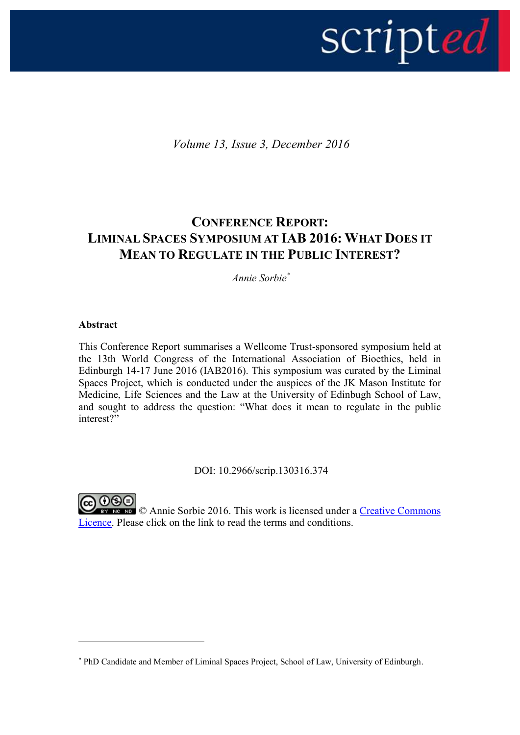

*Volume 13, Issue 3, December 2016*

# **CONFERENCE REPORT: LIMINAL SPACES SYMPOSIUM AT IAB 2016: WHAT DOES IT MEAN TO REGULATE IN THE PUBLIC INTEREST?**

*Annie Sorbie\**

# **Abstract**

This Conference Report summarises a Wellcome Trust-sponsored symposium held at the 13th World Congress of the International Association of Bioethics, held in Edinburgh 14-17 June 2016 (IAB2016). This symposium was curated by the Liminal Spaces Project, which is conducted under the auspices of the JK Mason Institute for Medicine, Life Sciences and the Law at the University of Edinbugh School of Law, and sought to address the question: "What does it mean to regulate in the public interest?"

DOI: 10.2966/scrip.130316.374



1

EV NG ND © Annie Sorbie 2016. This work is licensed under a Creative Commons [Licence.](http://creativecommons.org/licenses/by-nc-nd/2.5/scotland/) Please click on the link to read the terms and conditions.

<sup>\*</sup> PhD Candidate and Member of Liminal Spaces Project, School of Law, University of Edinburgh.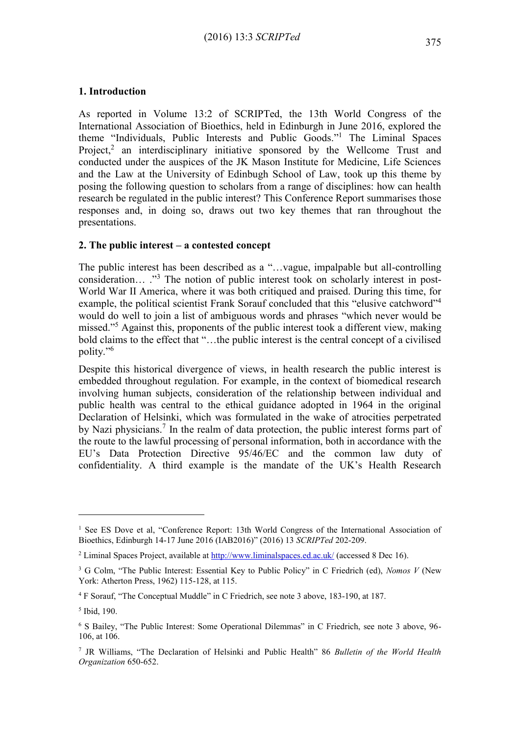#### **1. Introduction**

As reported in Volume 13:2 of SCRIPTed, the 13th World Congress of the International Association of Bioethics, held in Edinburgh in June 2016, explored the theme "Individuals, Public Interests and Public Goods." <sup>1</sup> The Liminal Spaces Project,<sup>2</sup> an interdisciplinary initiative sponsored by the Wellcome Trust and conducted under the auspices of the JK Mason Institute for Medicine, Life Sciences and the Law at the University of Edinbugh School of Law, took up this theme by posing the following question to scholars from a range of disciplines: how can health research be regulated in the public interest? This Conference Report summarises those responses and, in doing so, draws out two key themes that ran throughout the presentations.

#### **2. The public interest – a contested concept**

The public interest has been described as a "…vague, impalpable but all-controlling consideration... ."<sup>3</sup> The notion of public interest took on scholarly interest in post-World War II America, where it was both critiqued and praised. During this time, for example, the political scientist Frank Sorauf concluded that this "elusive catchword"<sup>4</sup> would do well to join a list of ambiguous words and phrases "which never would be missed."<sup>5</sup> Against this, proponents of the public interest took a different view, making bold claims to the effect that "…the public interest is the central concept of a civilised polity." 6

Despite this historical divergence of views, in health research the public interest is embedded throughout regulation. For example, in the context of biomedical research involving human subjects, consideration of the relationship between individual and public health was central to the ethical guidance adopted in 1964 in the original Declaration of Helsinki, which was formulated in the wake of atrocities perpetrated by Nazi physicians.<sup>7</sup> In the realm of data protection, the public interest forms part of the route to the lawful processing of personal information, both in accordance with the EU's Data Protection Directive 95/46/EC and the common law duty of confidentiality. A third example is the mandate of the UK's Health Research

1

<sup>&</sup>lt;sup>1</sup> See ES Dove et al, "Conference Report: 13th World Congress of the International Association of Bioethics, Edinburgh 14-17 June 2016 (IAB2016)" (2016) 13 *SCRIPTed* 202-209.

<sup>&</sup>lt;sup>2</sup> Liminal Spaces Project, available at<http://www.liminalspaces.ed.ac.uk/> (accessed 8 Dec 16).

<sup>3</sup> G Colm, "The Public Interest: Essential Key to Public Policy" in C Friedrich (ed), *Nomos V* (New York: Atherton Press, 1962) 115-128, at 115.

<sup>4</sup> F Sorauf, "The Conceptual Muddle" in C Friedrich, see note 3 above, 183-190, at 187.

<sup>5</sup> Ibid, 190.

<sup>6</sup> S Bailey, "The Public Interest: Some Operational Dilemmas" in C Friedrich, see note 3 above, 96- 106, at 106.

<sup>7</sup> JR Williams, "The Declaration of Helsinki and Public Health" 86 *Bulletin of the World Health Organization* 650-652.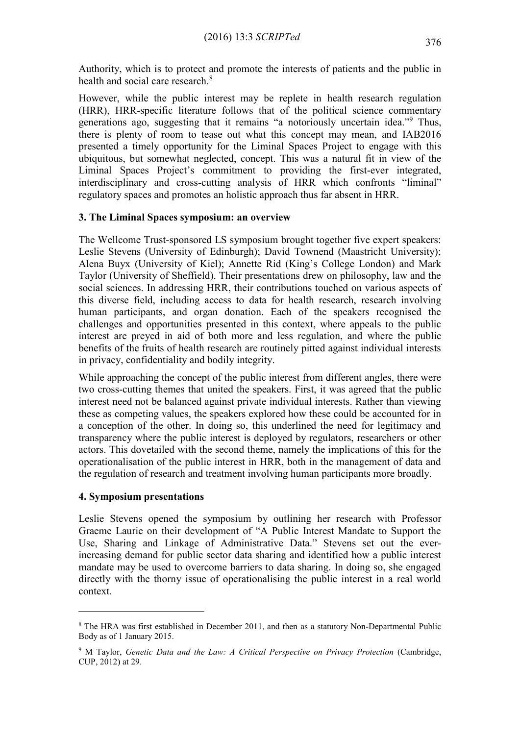Authority, which is to protect and promote the interests of patients and the public in health and social care research.<sup>8</sup>

However, while the public interest may be replete in health research regulation (HRR), HRR-specific literature follows that of the political science commentary generations ago, suggesting that it remains "a notoriously uncertain idea." <sup>9</sup> Thus, there is plenty of room to tease out what this concept may mean, and IAB2016 presented a timely opportunity for the Liminal Spaces Project to engage with this ubiquitous, but somewhat neglected, concept. This was a natural fit in view of the Liminal Spaces Project's commitment to providing the first-ever integrated, interdisciplinary and cross-cutting analysis of HRR which confronts "liminal" regulatory spaces and promotes an holistic approach thus far absent in HRR.

### **3. The Liminal Spaces symposium: an overview**

The Wellcome Trust-sponsored LS symposium brought together five expert speakers: Leslie Stevens (University of Edinburgh); David Townend (Maastricht University); Alena Buyx (University of Kiel); Annette Rid (King's College London) and Mark Taylor (University of Sheffield). Their presentations drew on philosophy, law and the social sciences. In addressing HRR, their contributions touched on various aspects of this diverse field, including access to data for health research, research involving human participants, and organ donation. Each of the speakers recognised the challenges and opportunities presented in this context, where appeals to the public interest are preyed in aid of both more and less regulation, and where the public benefits of the fruits of health research are routinely pitted against individual interests in privacy, confidentiality and bodily integrity.

While approaching the concept of the public interest from different angles, there were two cross-cutting themes that united the speakers. First, it was agreed that the public interest need not be balanced against private individual interests. Rather than viewing these as competing values, the speakers explored how these could be accounted for in a conception of the other. In doing so, this underlined the need for legitimacy and transparency where the public interest is deployed by regulators, researchers or other actors. This dovetailed with the second theme, namely the implications of this for the operationalisation of the public interest in HRR, both in the management of data and the regulation of research and treatment involving human participants more broadly.

### **4. Symposium presentations**

1

Leslie Stevens opened the symposium by outlining her research with Professor Graeme Laurie on their development of "A Public Interest Mandate to Support the Use, Sharing and Linkage of Administrative Data." Stevens set out the everincreasing demand for public sector data sharing and identified how a public interest mandate may be used to overcome barriers to data sharing. In doing so, she engaged directly with the thorny issue of operationalising the public interest in a real world context.

<sup>&</sup>lt;sup>8</sup> The HRA was first established in December 2011, and then as a statutory Non-Departmental Public Body as of 1 January 2015.

<sup>&</sup>lt;sup>9</sup> M Taylor, *Genetic Data and the Law: A Critical Perspective on Privacy Protection* (Cambridge, CUP, 2012) at 29.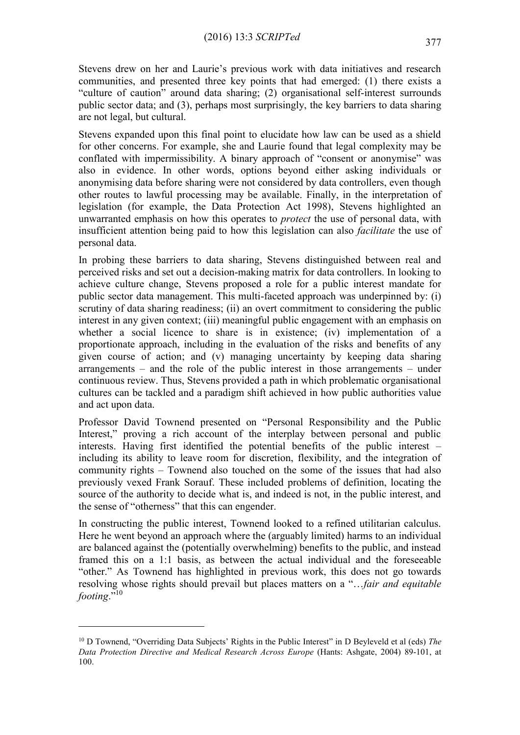Stevens drew on her and Laurie's previous work with data initiatives and research communities, and presented three key points that had emerged: (1) there exists a "culture of caution" around data sharing; (2) organisational self-interest surrounds public sector data; and (3), perhaps most surprisingly, the key barriers to data sharing are not legal, but cultural.

Stevens expanded upon this final point to elucidate how law can be used as a shield for other concerns. For example, she and Laurie found that legal complexity may be conflated with impermissibility. A binary approach of "consent or anonymise" was also in evidence. In other words, options beyond either asking individuals or anonymising data before sharing were not considered by data controllers, even though other routes to lawful processing may be available. Finally, in the interpretation of legislation (for example, the Data Protection Act 1998), Stevens highlighted an unwarranted emphasis on how this operates to *protect* the use of personal data, with insufficient attention being paid to how this legislation can also *facilitate* the use of personal data.

In probing these barriers to data sharing, Stevens distinguished between real and perceived risks and set out a decision-making matrix for data controllers. In looking to achieve culture change, Stevens proposed a role for a public interest mandate for public sector data management. This multi-faceted approach was underpinned by: (i) scrutiny of data sharing readiness; (ii) an overt commitment to considering the public interest in any given context; (iii) meaningful public engagement with an emphasis on whether a social licence to share is in existence; (iv) implementation of a proportionate approach, including in the evaluation of the risks and benefits of any given course of action; and (v) managing uncertainty by keeping data sharing arrangements – and the role of the public interest in those arrangements – under continuous review. Thus, Stevens provided a path in which problematic organisational cultures can be tackled and a paradigm shift achieved in how public authorities value and act upon data.

Professor David Townend presented on "Personal Responsibility and the Public Interest," proving a rich account of the interplay between personal and public interests. Having first identified the potential benefits of the public interest – including its ability to leave room for discretion, flexibility, and the integration of community rights – Townend also touched on the some of the issues that had also previously vexed Frank Sorauf. These included problems of definition, locating the source of the authority to decide what is, and indeed is not, in the public interest, and the sense of "otherness" that this can engender.

In constructing the public interest, Townend looked to a refined utilitarian calculus. Here he went beyond an approach where the (arguably limited) harms to an individual are balanced against the (potentially overwhelming) benefits to the public, and instead framed this on a 1:1 basis, as between the actual individual and the foreseeable "other." As Townend has highlighted in previous work, this does not go towards resolving whose rights should prevail but places matters on a "…*fair and equitable footing.*"<sup>10</sup>

<u>.</u>

<sup>10</sup> D Townend, "Overriding Data Subjects' Rights in the Public Interest" in D Beyleveld et al (eds) *The Data Protection Directive and Medical Research Across Europe* (Hants: Ashgate, 2004) 89-101, at 100.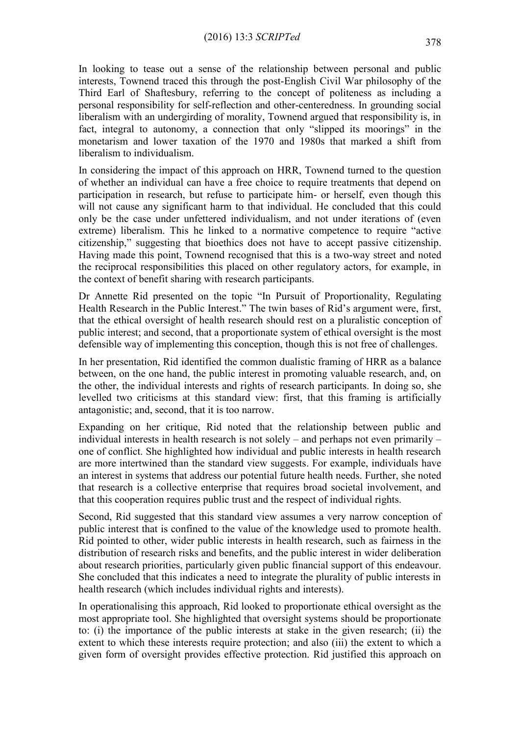In looking to tease out a sense of the relationship between personal and public interests, Townend traced this through the post-English Civil War philosophy of the Third Earl of Shaftesbury, referring to the concept of politeness as including a personal responsibility for self-reflection and other-centeredness. In grounding social liberalism with an undergirding of morality, Townend argued that responsibility is, in fact, integral to autonomy, a connection that only "slipped its moorings" in the monetarism and lower taxation of the 1970 and 1980s that marked a shift from liberalism to individualism.

In considering the impact of this approach on HRR, Townend turned to the question of whether an individual can have a free choice to require treatments that depend on participation in research, but refuse to participate him- or herself, even though this will not cause any significant harm to that individual. He concluded that this could only be the case under unfettered individualism, and not under iterations of (even extreme) liberalism. This he linked to a normative competence to require "active citizenship," suggesting that bioethics does not have to accept passive citizenship. Having made this point, Townend recognised that this is a two-way street and noted the reciprocal responsibilities this placed on other regulatory actors, for example, in the context of benefit sharing with research participants.

Dr Annette Rid presented on the topic "In Pursuit of Proportionality, Regulating Health Research in the Public Interest." The twin bases of Rid's argument were, first, that the ethical oversight of health research should rest on a pluralistic conception of public interest; and second, that a proportionate system of ethical oversight is the most defensible way of implementing this conception, though this is not free of challenges.

In her presentation, Rid identified the common dualistic framing of HRR as a balance between, on the one hand, the public interest in promoting valuable research, and, on the other, the individual interests and rights of research participants. In doing so, she levelled two criticisms at this standard view: first, that this framing is artificially antagonistic; and, second, that it is too narrow.

Expanding on her critique, Rid noted that the relationship between public and individual interests in health research is not solely – and perhaps not even primarily – one of conflict. She highlighted how individual and public interests in health research are more intertwined than the standard view suggests. For example, individuals have an interest in systems that address our potential future health needs. Further, she noted that research is a collective enterprise that requires broad societal involvement, and that this cooperation requires public trust and the respect of individual rights.

Second, Rid suggested that this standard view assumes a very narrow conception of public interest that is confined to the value of the knowledge used to promote health. Rid pointed to other, wider public interests in health research, such as fairness in the distribution of research risks and benefits, and the public interest in wider deliberation about research priorities, particularly given public financial support of this endeavour. She concluded that this indicates a need to integrate the plurality of public interests in health research (which includes individual rights and interests).

In operationalising this approach, Rid looked to proportionate ethical oversight as the most appropriate tool. She highlighted that oversight systems should be proportionate to: (i) the importance of the public interests at stake in the given research; (ii) the extent to which these interests require protection; and also (iii) the extent to which a given form of oversight provides effective protection. Rid justified this approach on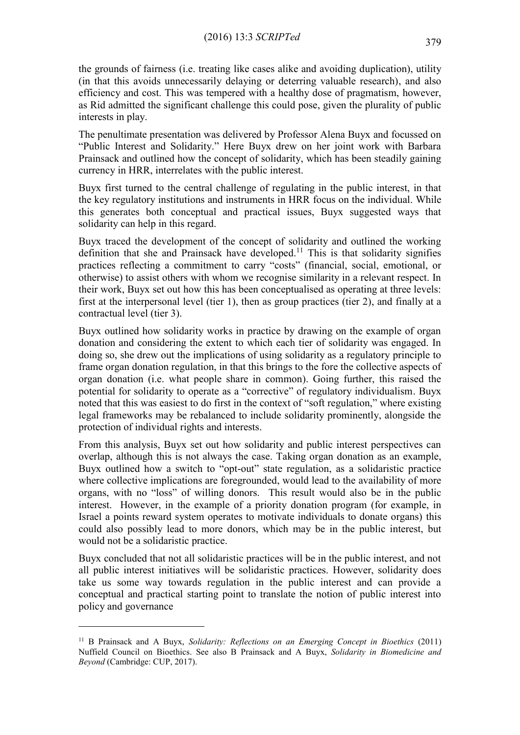the grounds of fairness (i.e. treating like cases alike and avoiding duplication), utility (in that this avoids unnecessarily delaying or deterring valuable research), and also efficiency and cost. This was tempered with a healthy dose of pragmatism, however, as Rid admitted the significant challenge this could pose, given the plurality of public interests in play.

The penultimate presentation was delivered by Professor Alena Buyx and focussed on "Public Interest and Solidarity." Here Buyx drew on her joint work with Barbara Prainsack and outlined how the concept of solidarity, which has been steadily gaining currency in HRR, interrelates with the public interest.

Buyx first turned to the central challenge of regulating in the public interest, in that the key regulatory institutions and instruments in HRR focus on the individual. While this generates both conceptual and practical issues, Buyx suggested ways that solidarity can help in this regard.

Buyx traced the development of the concept of solidarity and outlined the working definition that she and Prainsack have developed.<sup>11</sup> This is that solidarity signifies practices reflecting a commitment to carry "costs" (financial, social, emotional, or otherwise) to assist others with whom we recognise similarity in a relevant respect. In their work, Buyx set out how this has been conceptualised as operating at three levels: first at the interpersonal level (tier 1), then as group practices (tier 2), and finally at a contractual level (tier 3).

Buyx outlined how solidarity works in practice by drawing on the example of organ donation and considering the extent to which each tier of solidarity was engaged. In doing so, she drew out the implications of using solidarity as a regulatory principle to frame organ donation regulation, in that this brings to the fore the collective aspects of organ donation (i.e. what people share in common). Going further, this raised the potential for solidarity to operate as a "corrective" of regulatory individualism. Buyx noted that this was easiest to do first in the context of "soft regulation," where existing legal frameworks may be rebalanced to include solidarity prominently, alongside the protection of individual rights and interests.

From this analysis, Buyx set out how solidarity and public interest perspectives can overlap, although this is not always the case. Taking organ donation as an example, Buyx outlined how a switch to "opt-out" state regulation, as a solidaristic practice where collective implications are foregrounded, would lead to the availability of more organs, with no "loss" of willing donors. This result would also be in the public interest. However, in the example of a priority donation program (for example, in Israel a points reward system operates to motivate individuals to donate organs) this could also possibly lead to more donors, which may be in the public interest, but would not be a solidaristic practice.

Buyx concluded that not all solidaristic practices will be in the public interest, and not all public interest initiatives will be solidaristic practices. However, solidarity does take us some way towards regulation in the public interest and can provide a conceptual and practical starting point to translate the notion of public interest into policy and governance

<u>.</u>

<sup>11</sup> B Prainsack and A Buyx, *Solidarity: Reflections on an Emerging Concept in Bioethics* (2011) Nuffield Council on Bioethics. See also B Prainsack and A Buyx, *Solidarity in Biomedicine and Beyond* (Cambridge: CUP, 2017).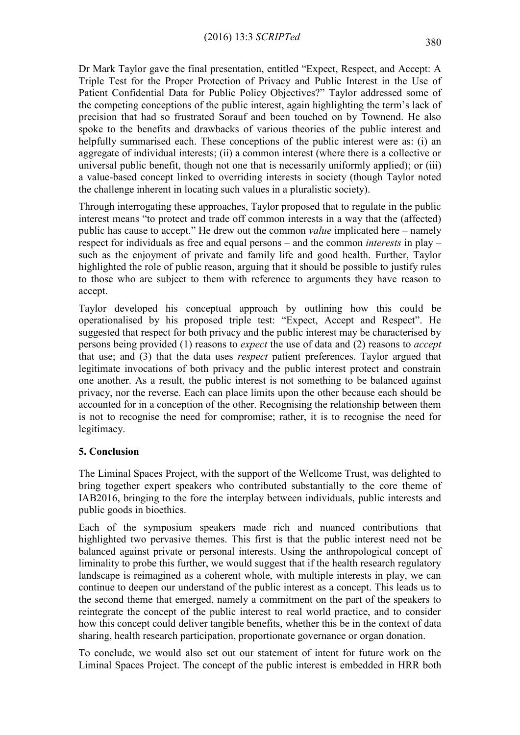Dr Mark Taylor gave the final presentation, entitled "Expect, Respect, and Accept: A Triple Test for the Proper Protection of Privacy and Public Interest in the Use of Patient Confidential Data for Public Policy Objectives?" Taylor addressed some of the competing conceptions of the public interest, again highlighting the term's lack of precision that had so frustrated Sorauf and been touched on by Townend. He also spoke to the benefits and drawbacks of various theories of the public interest and helpfully summarised each. These conceptions of the public interest were as: (i) an aggregate of individual interests; (ii) a common interest (where there is a collective or universal public benefit, though not one that is necessarily uniformly applied); or (iii) a value-based concept linked to overriding interests in society (though Taylor noted the challenge inherent in locating such values in a pluralistic society).

Through interrogating these approaches, Taylor proposed that to regulate in the public interest means "to protect and trade off common interests in a way that the (affected) public has cause to accept." He drew out the common *value* implicated here – namely respect for individuals as free and equal persons – and the common *interests* in play – such as the enjoyment of private and family life and good health. Further, Taylor highlighted the role of public reason, arguing that it should be possible to justify rules to those who are subject to them with reference to arguments they have reason to accept.

Taylor developed his conceptual approach by outlining how this could be operationalised by his proposed triple test: "Expect, Accept and Respect". He suggested that respect for both privacy and the public interest may be characterised by persons being provided (1) reasons to *expect* the use of data and (2) reasons to *accept* that use; and (3) that the data uses *respect* patient preferences. Taylor argued that legitimate invocations of both privacy and the public interest protect and constrain one another. As a result, the public interest is not something to be balanced against privacy, nor the reverse. Each can place limits upon the other because each should be accounted for in a conception of the other. Recognising the relationship between them is not to recognise the need for compromise; rather, it is to recognise the need for legitimacy.

### **5. Conclusion**

The Liminal Spaces Project, with the support of the Wellcome Trust, was delighted to bring together expert speakers who contributed substantially to the core theme of IAB2016, bringing to the fore the interplay between individuals, public interests and public goods in bioethics.

Each of the symposium speakers made rich and nuanced contributions that highlighted two pervasive themes. This first is that the public interest need not be balanced against private or personal interests. Using the anthropological concept of liminality to probe this further, we would suggest that if the health research regulatory landscape is reimagined as a coherent whole, with multiple interests in play, we can continue to deepen our understand of the public interest as a concept. This leads us to the second theme that emerged, namely a commitment on the part of the speakers to reintegrate the concept of the public interest to real world practice, and to consider how this concept could deliver tangible benefits, whether this be in the context of data sharing, health research participation, proportionate governance or organ donation.

To conclude, we would also set out our statement of intent for future work on the Liminal Spaces Project. The concept of the public interest is embedded in HRR both